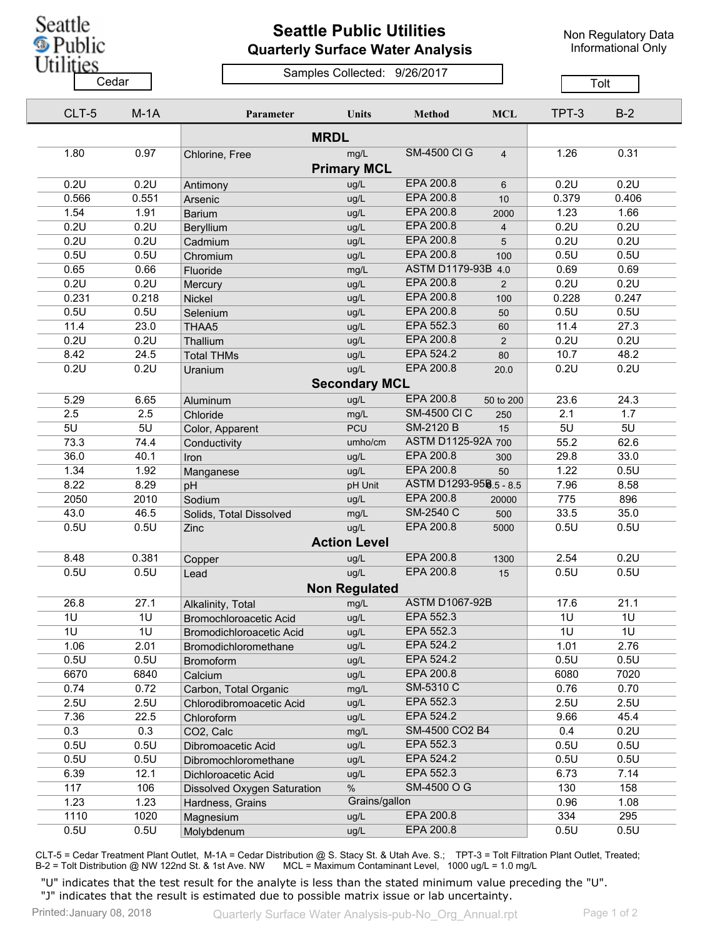

## **Seattle Public Utilities Quarterly Surface Water Analysis**

Non Regulatory Data Informational Only

## Samples Collected: 9/26/2017 Cedar **Cedar** Cedar Cedar Cedar Cedar Tolt

| CLT-5        | $M-1A$         | Parameter                   | Units                | <b>Method</b>          | <b>MCL</b>              | TPT-3 | $B-2$       |  |
|--------------|----------------|-----------------------------|----------------------|------------------------|-------------------------|-------|-------------|--|
|              |                |                             |                      |                        |                         |       |             |  |
| 1.80         | 0.97           | Chlorine, Free              | mg/L                 | <b>SM-4500 CI G</b>    | $\overline{4}$          | 1.26  | 0.31        |  |
|              |                |                             | <b>Primary MCL</b>   |                        |                         |       |             |  |
| 0.2U         | 0.2U           | Antimony                    | ug/L                 | EPA 200.8              | 6                       | 0.2U  | 0.2U        |  |
| 0.566        | 0.551          | Arsenic                     | ug/L                 | <b>EPA 200.8</b>       | 10                      | 0.379 | 0.406       |  |
| 1.54         | 1.91           | <b>Barium</b>               | ug/L                 | EPA 200.8              | 2000                    | 1.23  | 1.66        |  |
| 0.2U         | 0.2U           | Beryllium                   | ug/L                 | EPA 200.8              | $\overline{\mathbf{4}}$ | 0.2U  | 0.2U        |  |
| 0.2U         | 0.2U           | Cadmium                     | ug/L                 | EPA 200.8              | 5                       | 0.2U  | 0.2U        |  |
| 0.5U         | 0.5U           | Chromium                    | ug/L                 | <b>EPA 200.8</b>       | 100                     | 0.5U  | 0.5U        |  |
| 0.65         | 0.66           | Fluoride                    | mg/L                 | ASTM D1179-93B 4.0     |                         | 0.69  | 0.69        |  |
| 0.2U         | 0.2U           | Mercury                     | ug/L                 | <b>EPA 200.8</b>       | 2                       | 0.2U  | 0.2U        |  |
| 0.231        | 0.218          | Nickel                      | ug/L                 | EPA 200.8              | 100                     | 0.228 | 0.247       |  |
| 0.5U         | 0.5U           | Selenium                    | ug/L                 | EPA 200.8              | 50                      | 0.5U  | 0.5U        |  |
| 11.4         | 23.0           | THAA5                       | ug/L                 | EPA 552.3              | 60                      | 11.4  | 27.3        |  |
| 0.2U         | 0.2U           | Thallium                    | ug/L                 | EPA 200.8              | $\overline{2}$          | 0.2U  | 0.2U        |  |
| 8.42         | 24.5           | <b>Total THMs</b>           | ug/L                 | EPA 524.2              | 80                      | 10.7  | 48.2        |  |
| 0.2U         | 0.2U           | Uranium                     | ug/L                 | EPA 200.8              | 20.0                    | 0.2U  | 0.2U        |  |
|              |                |                             | <b>Secondary MCL</b> |                        |                         |       |             |  |
| 5.29         | 6.65           | Aluminum                    | ug/L                 | EPA 200.8              | 50 to 200               | 23.6  | 24.3        |  |
| 2.5          | 2.5            | Chloride                    | mg/L                 | <b>SM-4500 CI C</b>    | 250                     | 2.1   | 1.7         |  |
| 5U           | 5U             |                             | <b>PCU</b>           | <b>SM-2120 B</b>       | 15                      | 5U    | 5U          |  |
| 73.3         | 74.4           | Color, Apparent             | umho/cm              | ASTM D1125-92A 700     |                         | 55.2  | 62.6        |  |
| 36.0         | 40.1           | Conductivity                | ug/L                 | EPA 200.8              | 300                     | 29.8  | 33.0        |  |
| 1.34         | 1.92           | Iron                        | ug/L                 | EPA 200.8              |                         | 1.22  | 0.5U        |  |
|              | 8.29           | Manganese                   |                      | ASTM D1293-958.5 - 8.5 | 50                      | 7.96  |             |  |
| 8.22<br>2050 | 2010           | pH                          | pH Unit              | EPA 200.8              |                         | 775   | 8.58<br>896 |  |
|              |                | Sodium                      | ug/L                 | SM-2540 C              | 20000                   |       |             |  |
| 43.0         | 46.5           | Solids, Total Dissolved     | mg/L                 | EPA 200.8              | 500                     | 33.5  | 35.0        |  |
| 0.5U         | 0.5U           | Zinc                        | ug/L                 |                        | 5000                    | 0.5U  | 0.5U        |  |
|              |                |                             | <b>Action Level</b>  |                        |                         |       |             |  |
| 8.48         | 0.381          | Copper                      | ug/L                 | EPA 200.8              | 1300                    | 2.54  | 0.2U        |  |
| 0.5U         | 0.5U           | Lead                        | ug/L                 | EPA 200.8              | 15                      | 0.5U  | 0.5U        |  |
|              |                |                             | <b>Non Regulated</b> |                        |                         |       |             |  |
| 26.8         | 27.1           | Alkalinity, Total           | mg/L                 | <b>ASTM D1067-92B</b>  |                         | 17.6  | 21.1        |  |
| 1U           | 1U             | Bromochloroacetic Acid      | ug/L                 | EPA 552.3              |                         | 1U    | 1U          |  |
| 1U           | 1 <sub>U</sub> | Bromodichloroacetic Acid    | ug/L                 | EPA 552.3              |                         | 1U    | 1U          |  |
| 1.06         | 2.01           | Bromodichloromethane        | ug/L                 | EPA 524.2              |                         | 1.01  | 2.76        |  |
| 0.5U         | 0.5U           | <b>Bromoform</b>            | ug/L                 | EPA 524.2              |                         | 0.5U  | 0.5U        |  |
| 6670         | 6840           | Calcium                     | ug/L                 | EPA 200.8              |                         | 6080  | 7020        |  |
| 0.74         | 0.72           | Carbon, Total Organic       | mg/L                 | SM-5310 C              |                         | 0.76  | 0.70        |  |
| 2.5U         | 2.5U           | Chlorodibromoacetic Acid    | ug/L                 | EPA 552.3              |                         | 2.5U  | 2.5U        |  |
| 7.36         | 22.5           | Chloroform                  | ug/L                 | EPA 524.2              |                         | 9.66  | 45.4        |  |
| 0.3          | 0.3            | CO2, Calc                   | mg/L                 | SM-4500 CO2 B4         |                         | 0.4   | 0.2U        |  |
| 0.5U         | 0.5U           | Dibromoacetic Acid          | ug/L                 | EPA 552.3              |                         | 0.5U  | 0.5U        |  |
| 0.5U         | 0.5U           | Dibromochloromethane        | ug/L                 | EPA 524.2              |                         | 0.5U  | 0.5U        |  |
| 6.39         | 12.1           | Dichloroacetic Acid         | ug/L                 | EPA 552.3              |                         | 6.73  | 7.14        |  |
| 117          | 106            | Dissolved Oxygen Saturation | $\%$                 | SM-4500 O G            |                         | 130   | 158         |  |
| 1.23         | 1.23           | Hardness, Grains            | Grains/gallon        |                        |                         | 0.96  | 1.08        |  |
| 1110         | 1020           | Magnesium                   | ug/L                 | EPA 200.8              |                         | 334   | 295         |  |
| 0.5U         | 0.5U           | Molybdenum                  | ug/L                 | EPA 200.8              |                         | 0.5U  | 0.5U        |  |

CLT-5 = Cedar Treatment Plant Outlet, M-1A = Cedar Distribution @ S. Stacy St. & Utah Ave. S.; TPT-3 = Tolt Filtration Plant Outlet, Treated; B-2 = Tolt Distribution @ NW 122nd St. & 1st Ave. NW MCL = Maximum Contaminant Level, 1000 ug/L = 1.0 mg/L

"U" indicates that the test result for the analyte is less than the stated minimum value preceding the "U". "J" indicates that the result is estimated due to possible matrix issue or lab uncertainty.